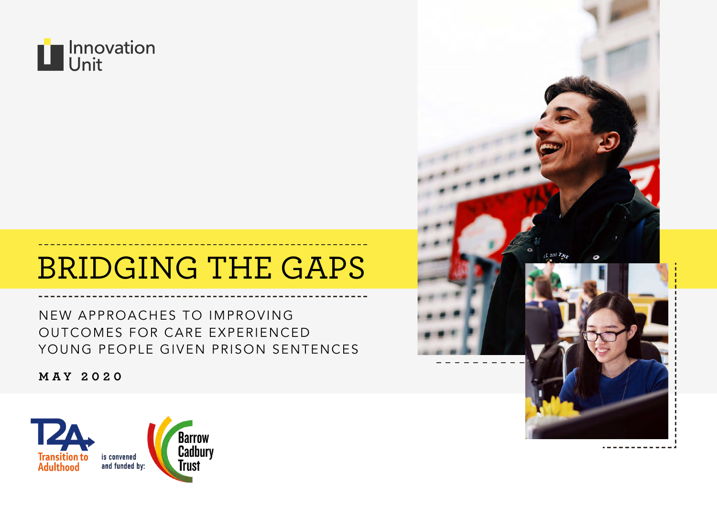

# BRIDGING THE GAPS

NEW APPROACHES TO IMPROVING OUTCOMES FOR CARE EXPERIENCED YOUNG PEOPLE GIVEN PRISON SENTENCES

**MAY 2020**



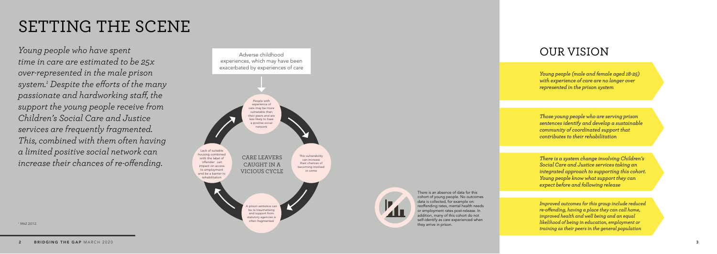*Young people who have spent time in care are estimated to be 25x over-represented in the male prison system. 1 Despite the efforts of the many passionate and hardworking staff, the support the young people receive from Children's Social Care and Justice services are frequently fragmented. This, combined with them often having a limited positive social network can increase their chances of re-offending.*

# SETTING THE SCENE

## OUR VISION

*Young people (male and female aged 18-25) with experience of care are no longer over represented in the prison system*

*Those young people who are serving prison sentences identify and develop a sustainable community of coordinated support that contributes to their rehabilitation*

*There is a system change involving Children's Social Care and Justice services taking an integrated approach to supporting this cohort. Young people know what support they can expect before and following release*

*Improved outcomes for this group include reduced re-offending, having a place they can call home, improved health and well being and an equal likelihood of being in education, employment or training as their peers in the general population*





 $1$  MoJ 2012.

There is an absence of data for this cohort of young people. No outcomes data is collected, for example on: reoffending rates, mental health needs or employment rates post-release. In addition, many of this cohort do not self-identify as care experienced when they arrive in prison.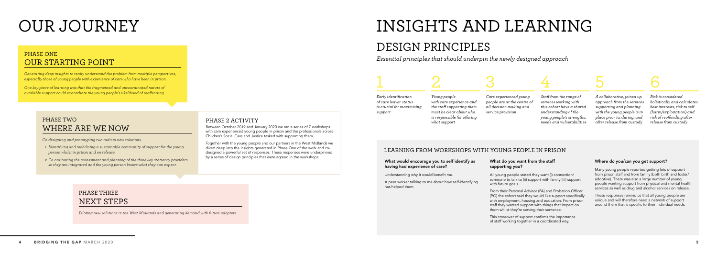# OUR JOURNEY INSIGHTS AND LEARNING

## DESIGN PRINCIPLES

### LEARNING FROM WORKSHOPS WITH YOUNG PEOPLE IN PRISON

### PHASE ONE OUR STARTING POINT

*Generating deep insights to really understand the problem from multiple perspectives, especially those of young people with experience of care who have been in prison.* 

*One key piece of learning was that the fragmented and uncoordinated nature of available support could exacerbate the young people's likelihood of reoffending.*

### PHASE TWO WHERE ARE WE NOW

*Co-designing and prototyping two radical new solutions.* 

- *1. Identifying and mobilising a sustainable community of support for the young person whilst in prison and on release.*
- *2. Co-ordinating the assessment and planning of the three key statutory providers so they are integrated and the young person knows what they can expect.*

## PHASE THREE NEXT STEPS

*Piloting new solutions in the West Midlands and generating demand with future adopters.*

### PHASE 2 ACTIVITY

Between October 2019 and January 2020 we ran a series of 7 workshops with care experienced young people in prison and the professionals across Children's Social Care and Justice tasked with supporting them.

Together with the young people and our partners in the West Midlands we dived deep into the insights generated in Phase One of the work and codesigned a powerful set of responses. These responses were underpinned by a series of design principles that were agreed in the workshops.

*Early identification of care leaver status is crucial for maximising support*

Many young people reported getting lots of support from prison staff and from family (both birth and foster/ adoptive). There was also a large number of young people wanting support from physical and mental health services as well as drug and alcohol services on release.

*Young people with care experience and the staff supporting them must be clear about who is responsible for offering what support*

# 1 2 3 4 5 6

*Care experienced young people are at the centre of all decision making and service provision*

*Staff from the range of services working with this cohort have a shared understanding of the young people's strengths, needs and vulnerabilities*

*A collaborative, joined up approach from the services supporting and planning with the young people is in place prior to, during, and after release from custody*

*Risk is considered holistically and calculates best interests, risk to self (harm/exploitation) and risk of reoffending after release from custody*

### What would encourage you to self identify as having had experience of care?

Understanding why it would benefit me.

A peer worker talking to me about how self-identifying has helped them.

### What do you want from the staff supporting you?

All young people stated they want (i) connection/ someone to talk to (ii) support with family (iii) support with future goals.

From their Personal Advisor (PA) and Probation Officer (PO) the cohort said they would like support specifically with employment, housing and education. From prison staff they wanted support with things that impact on them whilst they're serving their sentence.

This crossover of support confirms the importance of staff working together in a coordinated way.

### Where do you/can you get support?

These responses remind us that all young people are unique and will therefore need a network of support around them that is specific to their individual needs.

*Essential principles that should underpin the newly designed approach*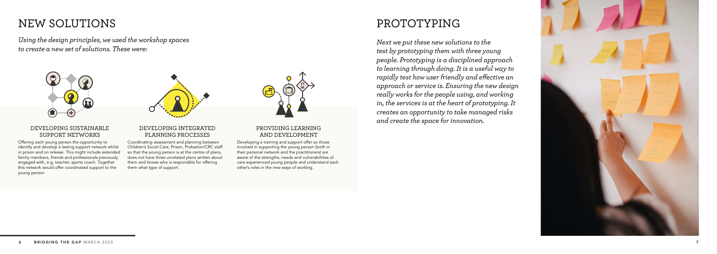## NEW SOLUTIONS

*Using the design principles, we used the workshop spaces to create a new set of solutions. These were:*



### DEVELOPING SUSTAINABLE SUPPORT NETWORKS

Offering each young person the opportunity to identify and develop a lasting support network whilst in prison and on release. This might include extended family members, friends and professionals previously engaged with, e.g. teacher, sports coach. Together this network would offer coordinated support to the young person.



Coordinating assessment and planning between Children's Social Care, Prison, Probation/CRC staff so that the young person is at the centre of plans, does not have three unrelated plans written about them and knows who is responsible for offering them what type of support.

### PROVIDING LEARNING AND DEVELOPMENT

Developing a training and support offer so those involved in supporting the young person (both in their personal network and the practitioners) are aware of the strengths, needs and vulnerabilities of care experienced young people and understand each other's roles in the new ways of working.



## PROTOTYPING



*Next we put these new solutions to the test by prototyping them with three young people. Prototyping is a disciplined approach to learning through doing. It is a useful way to rapidly test how user friendly and effective an approach or service is. Ensuring the new design really works for the people using, and working in, the services is at the heart of prototyping. It creates an opportunity to take managed risks and create the space for innovation.*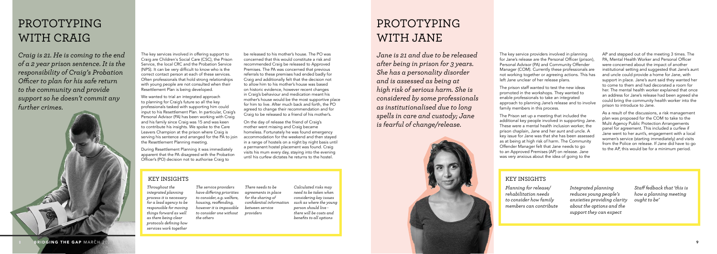## PROTOTYPING WITH CRAIG

## PROTOTYPING WITH JANE

The key services involved in offering support to Craig are Children's Social Care (CSC), the Prison Service, the local CRC and the Probation Service (NPS). It can be very difficult to know who is the correct contact person at each of these services. Often professionals that hold strong relationships with young people are not consulted when their Resettlement Plan is being developed.

We wanted to trial an integrated approach to planning for Craig's future so all the key professionals tasked with supporting him could input to his Resettlement Plan. In particular, Craig's Personal Advisor (PA) has been working with Craig and his family since Craig was 15 and was keen to contribute his insights. We spoke to the Care Leavers Champion at the prison where Craig is serving his sentence and arranged for the PA to join the Resettlement Planning meeting.

During Resettlement Planning it was immediately apparent that the PA disagreed with the Probation Officer's (PO) decision not to authorise Craig to

be released to his mother's house. The PO was concerned that this would constitute a risk and recommended Craig be released to Approved Premises. The PA was concerned that previous referrals to these premises had ended badly for Craig and additionally felt that the decision not to allow him to his mother's house was based on historic evidence, however recent changes in Craig's behaviour and medication meant his mother's house would be the most supportive place for him to live. After much back and forth, the PO agreed to change their recommendation and for Craig to be released to a friend of his mother's.

On the day of release the friend of Craig's mother went missing and Craig became homeless. Fortunately he was found emergency accommodation for the weekend and then stayed in a range of hostels on a night by night basis until a permanent hostel placement was found. Craig visits his mum every day, staying into the evening until his curfew dictates he returns to the hostel.

The key service providers involved in planning for Jane's release are the Personal Officer (prison), Personal Advisor (PA) and Community Offender Manager (COM). Currently these professionals are not working together or agreeing actions. This has left Jane unclear of her release plans.

The prison staff wanted to test the new ideas promoted in the workshops. They wanted to enable professionals to take an integrated approach to planning Jane's release and to involve family members in this process.

The Prison set up a meeting that included the additional key people involved in supporting Jane. These were a mental health inclusion worker, the prison chaplain, Jane and her aunt and uncle. A key issue for Jane was that she has been assessed as at being at high risk of harm. The Community Offender Manager felt that Jane needs to go to an Approved Premises (AP) on release. Jane was very anxious about the idea of going to the

AP and stepped out of the meeting 3 times. The PA, Mental Health Worker and Personal Officer were concerned about the impact of another institutional setting and suggested that Jane's aunt and uncle could provide a home for Jane, with support in place. Jane's aunt said they wanted her to come to them and had decorated a room for her. The mental health worker explained that once an address for Jane's release had been agreed she could bring the community health worker into the prison to introduce to Jane.

As a result of the discussions, a risk management plan was proposed for the COM to take to the Multi Agency Public Protection Arrangements panel for agreement. This included a curfew if Jane went to her aunt's, engagement with a local women's service (starting immediately) and visits from the Police on release. If Jane did have to go to the AP, this would be for a minimum period.

*Craig is 21. He is coming to the end of a 2 year prison sentence. It is the responsibility of Craig's Probation Officer to plan for his safe return to the community and provide support so he doesn't commit any further crimes.*



*Jane is 21 and due to be released after being in prison for 3 years. She has a personality disorder and is assessed as being at high risk of serious harm. She is considered by some professionals as institutionalised due to long spells in care and custody; Jane is fearful of change/release.*

*Throughout the integrated planning process it is necessary for a lead agency to be responsible for moving things forward as well as there being clear protocols defining how services work together*

*The service providers have differing priorities to consider, e.g. welfare, housing, reoffending, however it is impossible to consider one without the others*

*There needs to be agreements in place for the sharing of confidential information between service providers*



*Calculated risks may need to be taken when considering key issues such as where the young person should live there will be costs and benefits to all options*

*Planning for release/ rehabilitation needs to consider how family members can contribute* *Integrated planning reduces young people's anxieties providing clarity about the options and the support they can expect*

*Staff fedback that 'this is how a planning meeting ought to be'*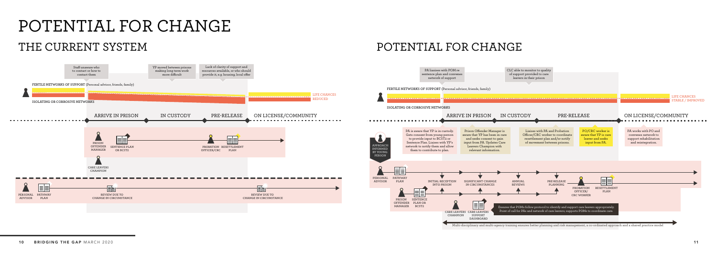# POTENTIAL FOR CHANGE THE CURRENT SYSTEM



## POTENTIAL FOR CHANGE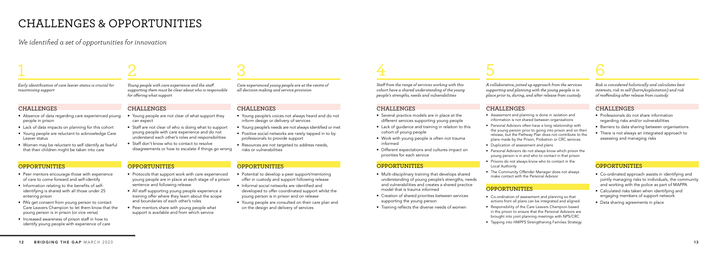*A collaborative, joined up approach from the services supporting and planning with the young people is in place prior to, during, and after release from custody*

*Risk is considered holistically and calculates best interests, risk to self (harm/exploitation) and risk of reoffending after release from custody*

### **CHALLENGES**

*Staff from the range of services working with this cohort have a shared understanding of the young people's strengths, needs and vulnerabilities*

### CHALLENGES

- Several practice models are in place at the different services supporting young people
- Lack of quidance and training in relation to this cohort of young people
- Work with young people is often not trauma informed
- Different expectations and cultures impact on priorities for each service

### **OPPORTUNITIES**

- Multi-disciplinary training that develops shared understanding of young people's strengths, needs and vulnerabilities and creates a shared practice model that is trauma informed
- Creation of shared priorities between services supporting the young person
- Training reflects the diverse needs of women

### CHALLENGES

- Assessment and planning is done in isolation and information is not shared between organisations
- Personal Advisors often have a long relationship with the young person prior to going into prison and on their release, but the Pathway Plan does not contribute to the plans made by the Prison, Probation or CRC services
- Duplication of assessment and plans
- Personal Advisors do not always know which prison the young person is in and who to contact in that prison
- Prisons do not always know who to contact in the Local Authority
- The Community Offender Manager does not always make contact with the Personal Advisor

### **OPPORTUNITIES**

- Co-ordination of assessment and planning so that actions from all plans can be integrated and aligned
- Responsibility of the Care Leavers Champion based in the prison to ensure that the Personal Advisors are brought into joint planning meetings with NPS/CRC
- Tapping into HMPPS Strengthening Families Strategy

# 4 5 6

- Young people are not clear of what support they can expect
- Staff are not clear of who is doing what to support young people with care experience and do not understand each other's roles and responsibilities
- Staff don't know who to contact to resolve disagreements or how to escalate if things go wrong

- Co-ordinated approach assists in identifying and jointly managing risks to individuals, the community and working with the police as part of MAPPA
- Calculated risks taken when identifying and engaging members of support network
- Data sharing agreements in place
- Professionals do not share information regarding risks and/or vulnerabilities
- Barriers to data sharing between organisations
- There is not always an integrated approach to assessing and managing risks

### **OPPORTUNITIES**

## CHALLENGES & OPPORTUNITIES

*We identified a set of opportunities for innovation*

# 1 2 3

*Young people with care experience and the staff supporting them must be clear about who is responsible for offering what support*

### **CHALLENGES**

*Care experienced young people are at the centre of all decision making and service provision*

*Early identification of care leaver status is crucial for maximising support*

- Peer mentors encourage those with experience of care to come forward and self-identify
- Information relating to the benefits of selfidentifying is shared with all those under 25 entering prison
- PA's get consent from young person to contact Care Leavers Champion to let them know that the young person is in prison (or vice versa)
- Increased awareness of prison staff in how to identify young people with experience of care

### CHALLENGES

- Absence of data regarding care experienced young people in prison
- Lack of data impacts on planning for this cohort
- Young people are reluctant to acknowledge Care Leaver status
- Women may be reluctant to self identify as fearful that their children might be taken into care

### OPPORTUNITIES

- Protocols that support work with care experienced young people are in place at each stage of a prison sentence and following release
- All staff supporting young people experience a training offer where they learn about the scope and boundaries of each other's roles
- Peer mentors share with young people what support is available and from which service

### **OPPORTUNITIES**

### CHALLENGES

- Young people's voices not always heard and do not inform design or delivery of services
- Young people's needs are not always identified or met
- Positive social networks are rarely tapped in to by professionals to provide support
- Resources are not targeted to address needs. risks or vulnerabilities

### **OPPORTUNITIES**

- Potential to develop a peer support/mentoring offer in custody and support following release
- Informal social networks are identified and developed to offer coordinated support whilst the young person is in prison and on release
- Young people are consulted on their care plan and on the design and delivery of services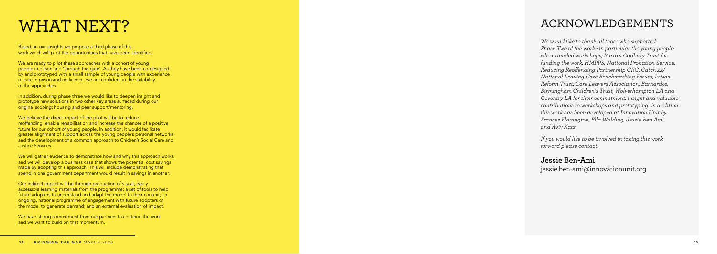# WHAT NEXT?

Based on our insights we propose a third phase of this work which will pilot the opportunities that have been identified.

We are ready to pilot these approaches with a cohort of young people in prison and 'through the gate'. As they have been co-designed by and prototyped with a small sample of young people with experience of care in prison and on licence, we are confident in the suitability of the approaches.

In addition, during phase three we would like to deepen insight and prototype new solutions in two other key areas surfaced during our original scoping: housing and peer support/mentoring.

We believe the direct impact of the pilot will be to reduce reoffending, enable rehabilitation and increase the chances of a positive future for our cohort of young people. In addition, it would facilitate greater alignment of support across the young people's personal networks and the development of a common approach to Chidren's Social Care and Justice Services.

We will gather evidence to demonstrate how and why this approach works and we will develop a business case that shows the potential cost savings made by adopting this approach. This will include demonstrating that spend in one government department would result in savings in another.

Our indirect impact will be through production of visual, easily accessible learning materials from the programme; a set of tools to help future adopters to understand and adapt the model to their context; an ongoing, national programme of engagement with future adopters of the model to generate demand; and an external evaluation of impact.

We have strong commitment from our partners to continue the work and we want to build on that momentum.

## ACKNOWLEDGEMENTS

*We would like to thank all those who supported Phase Two of the work - in particular the young people who attended workshops; Barrow Cadbury Trust for funding the work, HMPPS; National Probation Service, Reducing Reoffending Partnership CRC, Catch 22/ National Leaving Care Benchmarking Forum; Prison Reform Trust; Care Leavers Association, Barnardos, Birmingham Children's Trust, Wolverhampton LA and Coventry LA for their commitment, insight and valuable contributions to workshops and prototyping. In addition this work has been developed at Innovation Unit by Frances Flaxington, Ella Walding, Jessie Ben-Ami and Aviv Katz* 

*If you would like to be involved in taking this work forward please contact:* 

**Jessie Ben-Ami** jessie.ben-ami@innovationunit.org